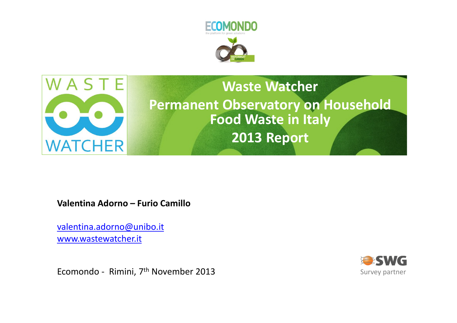



## Waste WatcherPermanent Observatory on Household Food Waste in Italy2013 Report

Valentina Adorno – Furio Camillo

valentina.adorno@unibo.itwww.wastewatcher.it

Ecomondo - Rimini, 7th November 2013

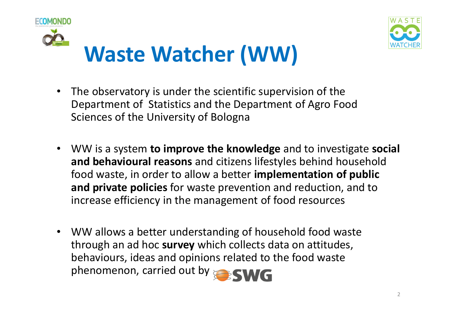



- $\bullet$  The observatory is under the scientific supervision of the Department of Statistics and the Department of Agro Food Sciences of the University of Bologna
- WW is a system to improve the knowledge and to investigate social and behavioural reasons and citizens lifestyles behind household food waste, in order to allow a better implementation of public and private policies for waste prevention and reduction, and to increase efficiency in the management of food resources
- $\bullet$  WW allows a better understanding of household food waste through an ad hoc survey which collects data on attitudes, behaviours, ideas and opinions related to the food wastephenomenon, carried out by **ESWG**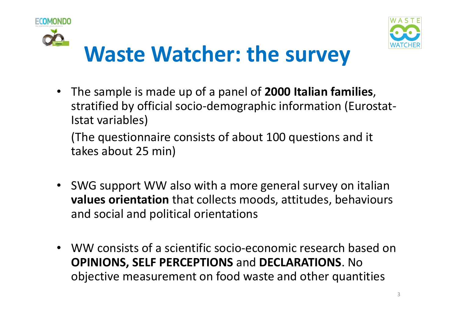



# Waste Watcher: the survey

• The sample is made up of a panel of 2000 Italian families, stratified by official socio-demographic information (Eurostat-Istat variables)

(The questionnaire consists of about 100 questions and it takes about 25 min)

- SWG support WW also with a more general survey on italian values orientation that collects moods, attitudes, behaviours and social and political orientations
- WW consists of a scientific socio-economic research based on OPINIONS, SELF PERCEPTIONS and DECLARATIONS. No objective measurement on food waste and other quantities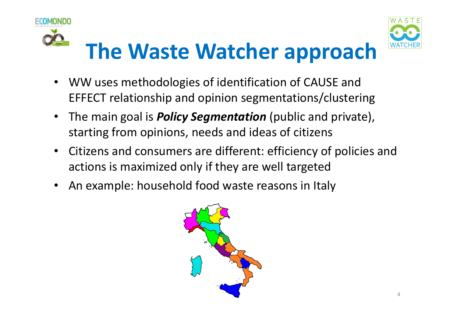



# The Waste Watcher approach

- • WW uses methodologies of identification of CAUSE and EFFECT relationship and opinion segmentations/clustering
- •The main goal is **Policy Segmentation** (public and private), starting from opinions, needs and ideas of citizens
- • Citizens and consumers are different: efficiency of policies and actions is maximized only if they are well targeted
- •An example: household food waste reasons in Italy

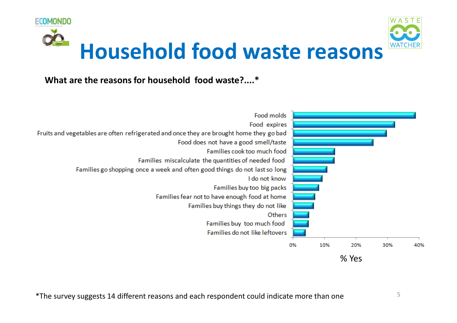

#### What are the reasons for household food waste?....\*

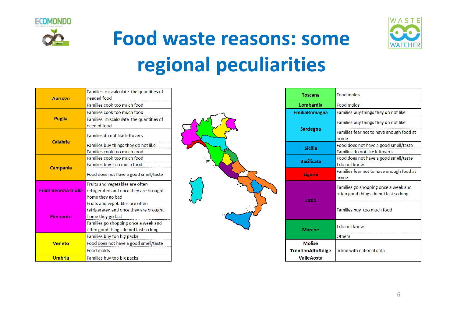



# Food waste reasons: some regional peculiarities

|                              | Families miscalculate the quantities of |  |  |
|------------------------------|-----------------------------------------|--|--|
| <b>Abruzzo</b>               | needed food                             |  |  |
|                              | Families cook too much food             |  |  |
|                              | Families cook too much food             |  |  |
| Puglia                       | Families miscalculate the quantities of |  |  |
|                              | needed food                             |  |  |
| Calabria                     | Families do not like leftovers          |  |  |
|                              |                                         |  |  |
|                              | Families buy things they do not like    |  |  |
|                              | Families cook too much food             |  |  |
|                              | Families cook too much food             |  |  |
| <b>Campania</b>              | Families buy too much food              |  |  |
|                              | Food does not have a good smell/taste   |  |  |
| <b>Friuli Venezia Giulia</b> | Fruits and vegetables are often         |  |  |
|                              | refrigerated and once they are brought  |  |  |
|                              | home they go bad                        |  |  |
| Piemonte                     | Fruits and vegetables are often         |  |  |
|                              | refrigerated and once they are brought  |  |  |
|                              | home they go bad                        |  |  |
|                              | Families go shopping once a week and    |  |  |
|                              | often good things do not last so long   |  |  |
| Veneto                       | Families buy too big packs              |  |  |
|                              | Food does not have a good smell/taste   |  |  |
|                              | <b>Food molds</b>                       |  |  |
| <b>Umbria</b>                | Families buy too big packs              |  |  |



| <b>Toscana</b>                                          | <b>Food molds</b>                                                                                           |  |  |
|---------------------------------------------------------|-------------------------------------------------------------------------------------------------------------|--|--|
| Lombardia                                               | <b>Food molds</b>                                                                                           |  |  |
| <b>EmiliaRomagna</b>                                    | Families buy things they do not like                                                                        |  |  |
| Sardegna                                                | Families buy things they do not like<br>Families fear not to have enough food at<br>home                    |  |  |
| Sicilia                                                 | Food does not have a good smell/taste<br>Families do not like leftovers                                     |  |  |
| <b>Basilicata</b>                                       | Food does not have a good smell/taste<br>I do not know                                                      |  |  |
| Liguria                                                 | Families fear not to have enough food at<br>home                                                            |  |  |
| Lazio                                                   | Families go shopping once a week and<br>often good things do not last so long<br>Families buy too much food |  |  |
| Marche                                                  | I do not know<br><b>Others</b>                                                                              |  |  |
| <b>Molise</b><br>TrentinoAltoAdige<br><b>ValleAosta</b> | in line with national data                                                                                  |  |  |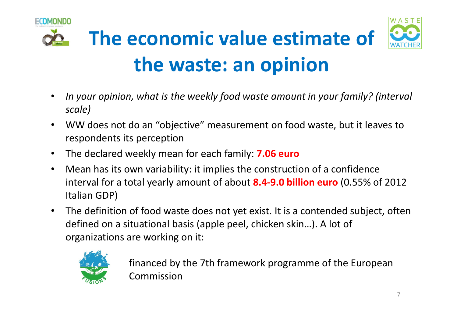

- • In your opinion, what is the weekly food waste amount in your family? (interval scale)
- • WW does not do an "objective" measurement on food waste, but it leaves to respondents its perception
- •The declared weekly mean for each family: 7.06 euro
- • Mean has its own variability: it implies the construction of a confidence interval for a total yearly amount of about  $\textbf{8.4-9.0}$  billion euro (0.55% of 2012) Italian GDP)
- • The definition of food waste does not yet exist. It is a contended subject, often defined on a situational basis (apple peel, chicken skin…). A lot of organizations are working on it:



financed by the 7th framework programme of the European Commission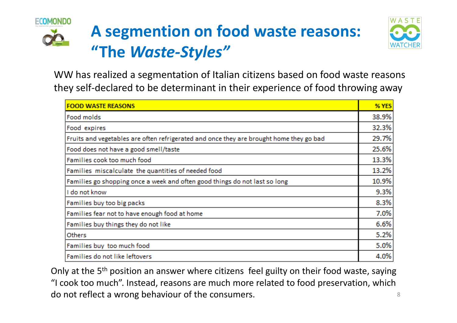





WW has realized a segmentation of Italian citizens based on food waste reasons they self-declared to be determinant in their experience of food throwing away

| <b>FOOD WASTE REASONS</b>                                                               | % YES |
|-----------------------------------------------------------------------------------------|-------|
| Food molds                                                                              |       |
| Food expires                                                                            |       |
| Fruits and vegetables are often refrigerated and once they are brought home they go bad |       |
| Food does not have a good smell/taste                                                   |       |
| Families cook too much food                                                             | 13.3% |
| Families miscalculate the quantities of needed food                                     | 13.2% |
| Families go shopping once a week and often good things do not last so long              |       |
| I do not know                                                                           |       |
| Families buy too big packs                                                              | 8.3%  |
| Families fear not to have enough food at home                                           |       |
| Families buy things they do not like                                                    |       |
| Others                                                                                  | 5.2%  |
| Families buy too much food                                                              | 5.0%  |
| Families do not like leftovers                                                          | 4.0%  |

Only at the 5<sup>th</sup> position an answer where citizens feel guilty on their food waste, saying "I cook too much". Instead, reasons are much more related to food preservation, which do not reflect a wrong behaviour of the consumers.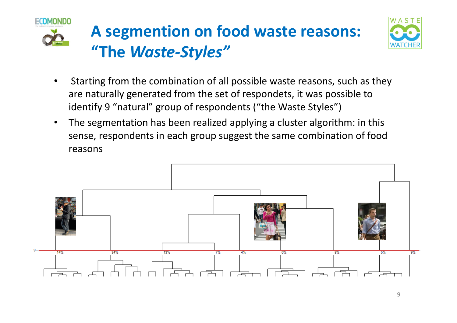

## A segmention on food waste reasons: "The Waste-Styles"



- • Starting from the combination of all possible waste reasons, such as they are naturally generated from the set of respondets, it was possible to identify 9 "natural" group of respondents ("the Waste Styles")
- • The segmentation has been realized applying a cluster algorithm: in this sense, respondents in each group suggest the same combination of food reasons

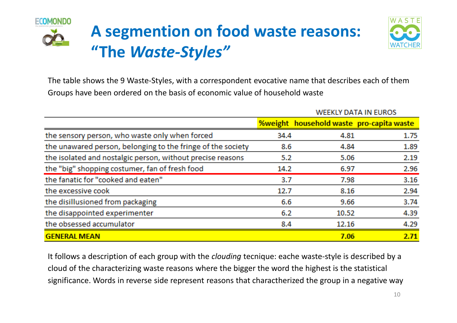



The table shows the 9 Waste-Styles, with a correspondent evocative name that describes each of themGroups have been ordered on the basis of economic value of household waste

|                                                             | <b>WEEKLY DATA IN EUROS</b> |                                                 |      |
|-------------------------------------------------------------|-----------------------------|-------------------------------------------------|------|
|                                                             |                             | <b>%weight</b> household waste pro-capita waste |      |
| the sensory person, who waste only when forced              | 34.4                        | 4.81                                            | 1.75 |
| the unawared person, belonging to the fringe of the society | 8.6                         | 4.84                                            | 1.89 |
| the isolated and nostalgic person, without precise reasons  | 5.2                         | 5.06                                            | 2.19 |
| the "big" shopping costumer, fan of fresh food              | 14.2                        | 6.97                                            | 2.96 |
| the fanatic for "cooked and eaten"                          | 3.7                         | 7.98                                            | 3.16 |
| the excessive cook                                          | 12.7                        | 8.16                                            | 2.94 |
| the disillusioned from packaging                            | 6.6                         | 9.66                                            | 3.74 |
| the disappointed experimenter                               | 6.2                         | 10.52                                           | 4.39 |
| the obsessed accumulator                                    | 8.4                         | 12.16                                           | 4.29 |
| <b>GENERAL MEAN</b>                                         |                             | 7.06                                            | 2.71 |

It follows a description of each group with the *clouding* tecnique: eache waste-style is described by a cloud of the characterizing waste reasons where the bigger the word the highest is the statistical significance. Words in reverse side represent reasons that charactherized the group in a negative way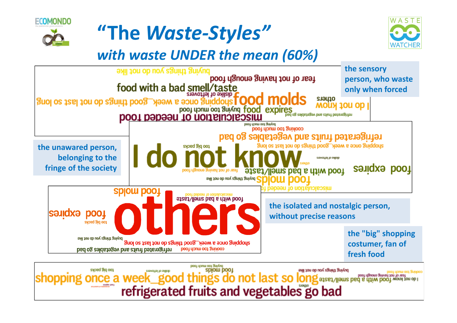





### with waste UNDER the mean (60%)



refrigerated fruits and vegetables go bad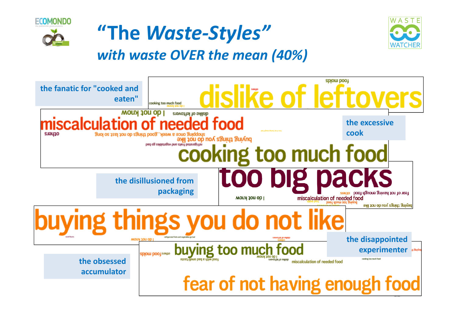





with waste OVER the mean (40%)

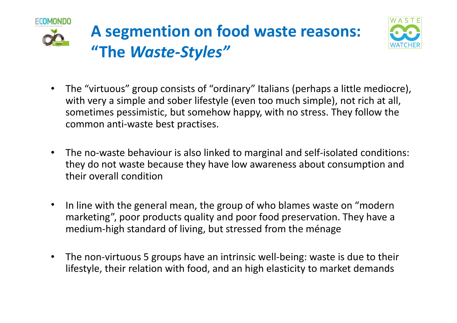



- $\bullet$  The "virtuous" group consists of "ordinary" Italians (perhaps a little mediocre), with very a simple and sober lifestyle (even too much simple), not rich at all, sometimes pessimistic, but somehow happy, with no stress. They follow the common anti-waste best practises.
- • The no-waste behaviour is also linked to marginal and self-isolated conditions: they do not waste because they have low awareness about consumption and their overall condition
- • In line with the general mean, the group of who blames waste on "modern marketing", poor products quality and poor food preservation. They have a medium-high standard of living, but stressed from the ménage
- $\bullet$  The non-virtuous 5 groups have an intrinsic well-being: waste is due to their lifestyle, their relation with food, and an high elasticity to market demands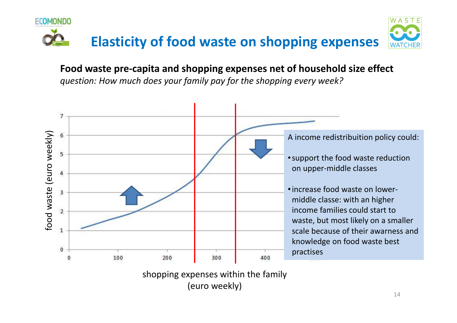

Food waste pre-capita and shopping expenses net of household size effectquestion: How much does your family pay for the shopping every week?